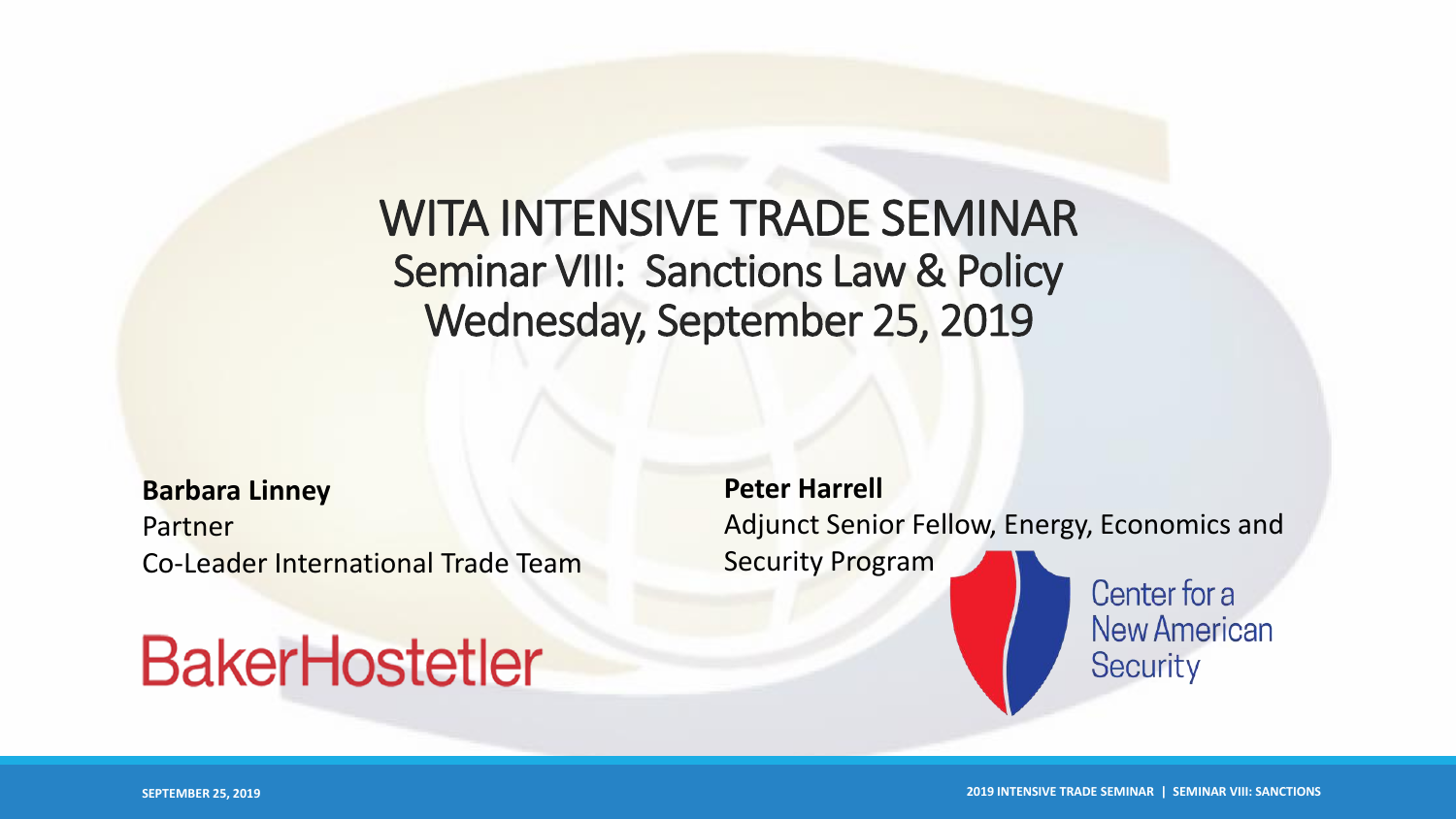## WITA INTENSIVE TRADE SEMINAR Seminar VIII: Sanctions Law & Policy Wednesday, September 25, 2019

**Barbara Linney** Partner Co-Leader International Trade Team

# **BakerHostetler**

**Peter Harrell** Adjunct Senior Fellow, Energy, Economics and Security Program

Center for a **New American** Security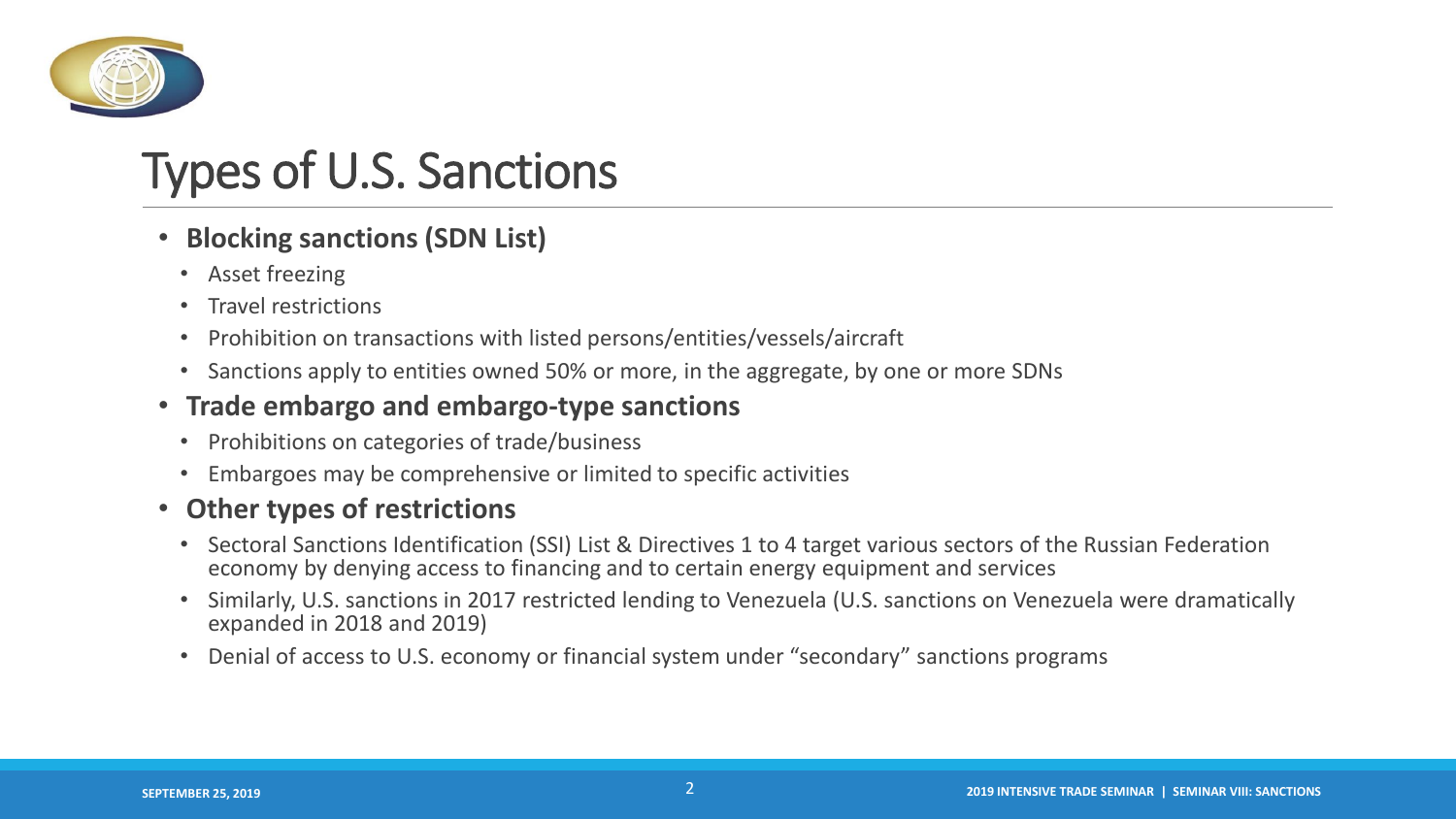

# Types of U.S. Sanctions

- **Blocking sanctions (SDN List)**
	- Asset freezing
	- Travel restrictions
	- Prohibition on transactions with listed persons/entities/vessels/aircraft
	- Sanctions apply to entities owned 50% or more, in the aggregate, by one or more SDNs

#### • **Trade embargo and embargo-type sanctions**

- Prohibitions on categories of trade/business
- Embargoes may be comprehensive or limited to specific activities

#### • **Other types of restrictions**

- Sectoral Sanctions Identification (SSI) List & Directives 1 to 4 target various sectors of the Russian Federation economy by denying access to financing and to certain energy equipment and services
- Similarly, U.S. sanctions in 2017 restricted lending to Venezuela (U.S. sanctions on Venezuela were dramatically expanded in 2018 and 2019)
- Denial of access to U.S. economy or financial system under "secondary" sanctions programs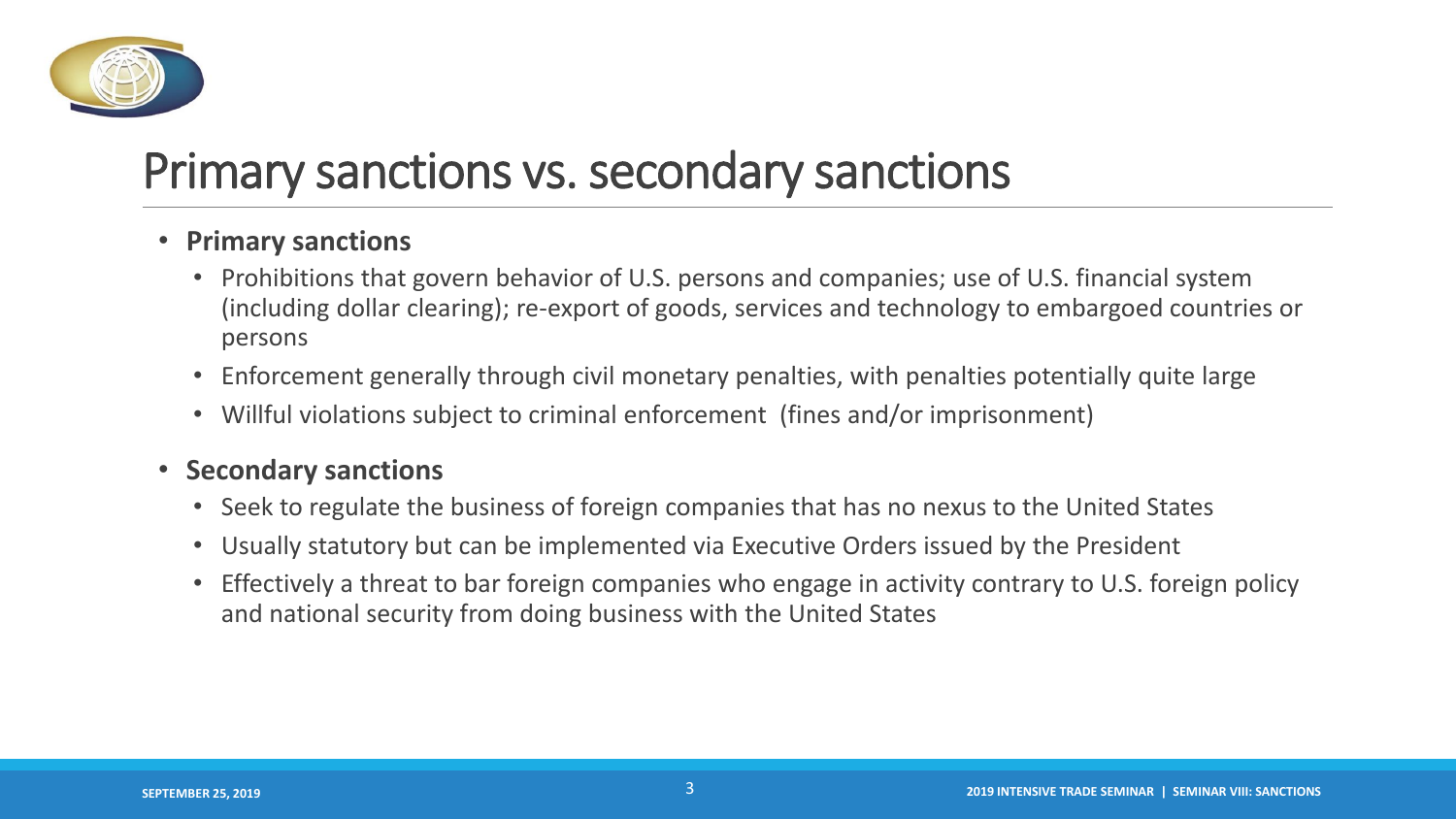

# Primary sanctions vs. secondary sanctions

- **Primary sanctions**
	- Prohibitions that govern behavior of U.S. persons and companies; use of U.S. financial system (including dollar clearing); re-export of goods, services and technology to embargoed countries or persons
	- Enforcement generally through civil monetary penalties, with penalties potentially quite large
	- Willful violations subject to criminal enforcement (fines and/or imprisonment)

#### • **Secondary sanctions**

- Seek to regulate the business of foreign companies that has no nexus to the United States
- Usually statutory but can be implemented via Executive Orders issued by the President
- Effectively a threat to bar foreign companies who engage in activity contrary to U.S. foreign policy and national security from doing business with the United States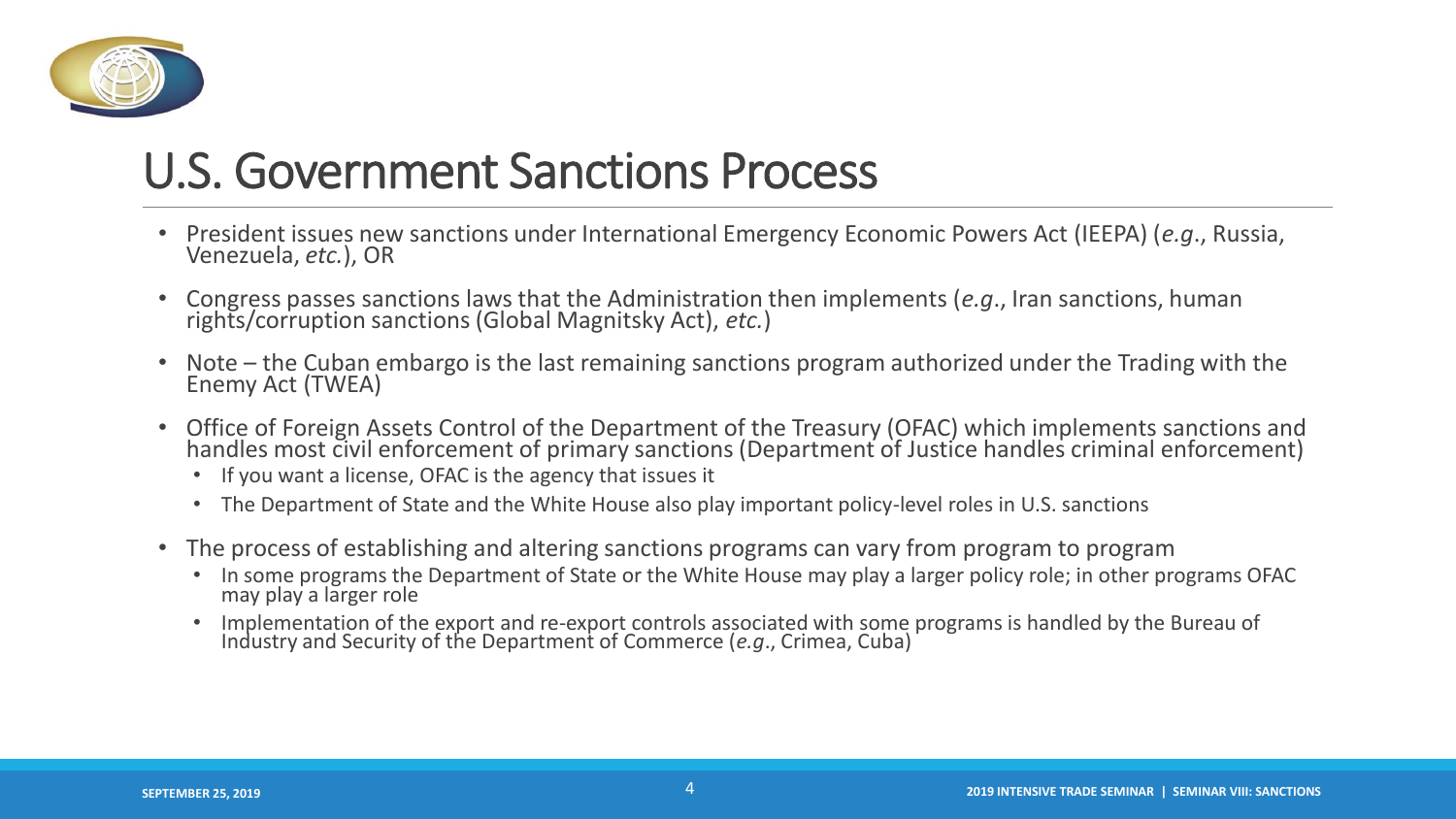

# U.S. Government Sanctions Process

- President issues new sanctions under International Emergency Economic Powers Act (IEEPA) (*e.g*., Russia, Venezuela, *etc.*), OR
- Congress passes sanctions laws that the Administration then implements (*e.g*., Iran sanctions, human rights/corruption sanctions (Global Magnitsky Act), *etc.*)
- Note the Cuban embargo is the last remaining sanctions program authorized under the Trading with the Enemy Act (TWEA)
- Office of Foreign Assets Control of the Department of the Treasury (OFAC) which implements sanctions and handles most civil enforcement of primary sanctions (Department of Justice handles criminal enforcement)
	- If you want a license, OFAC is the agency that issues it
	- The Department of State and the White House also play important policy-level roles in U.S. sanctions
- The process of establishing and altering sanctions programs can vary from program to program
	- In some programs the Department of State or the White House may play a larger policy role; in other programs OFAC may play a larger role
	- Implementation of the export and re-export controls associated with some programs is handled by the Bureau of Industry and Security of the Department of Commerce (*e.g*., Crimea, Cuba)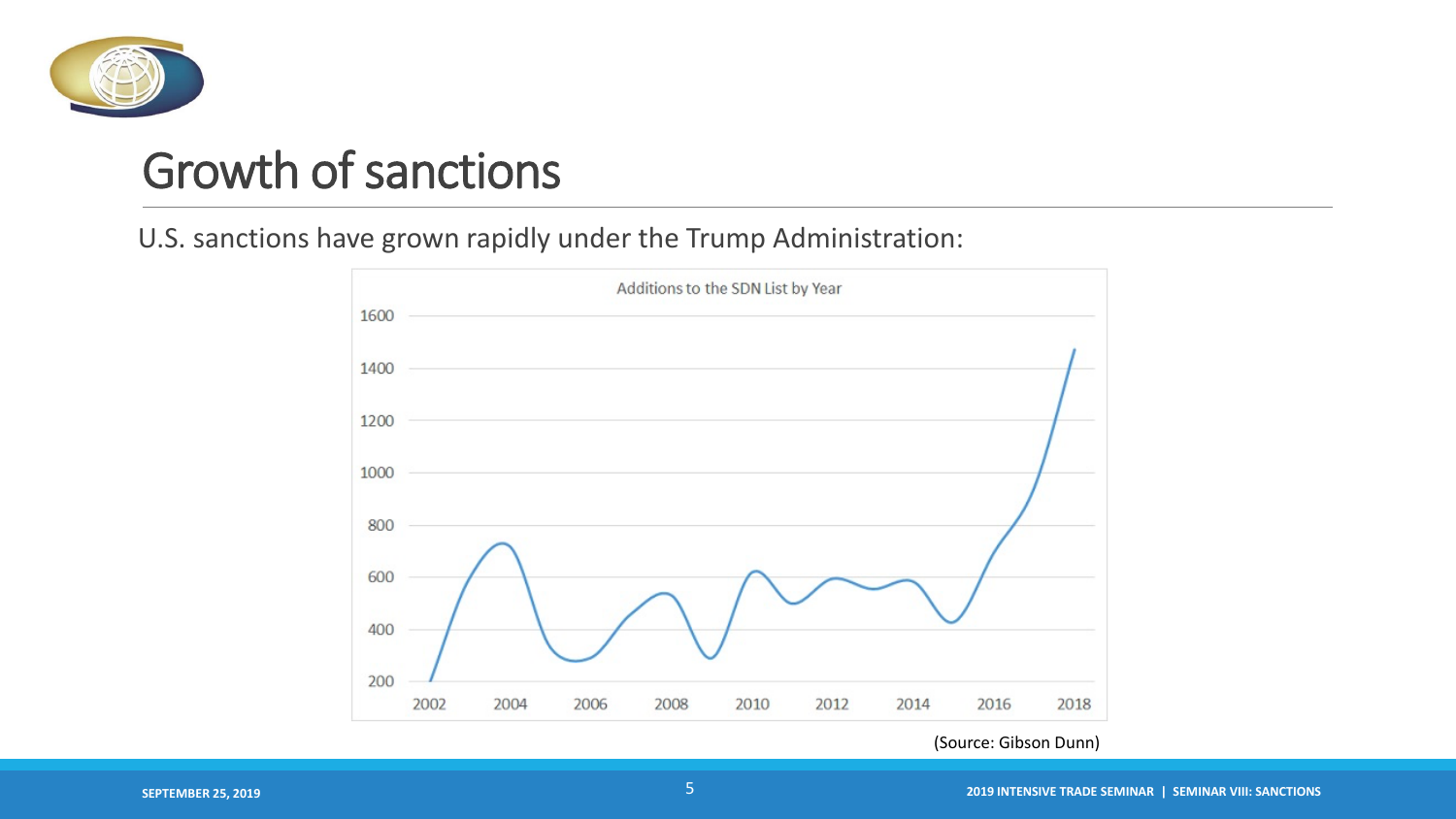

# Growth of sanctions

#### U.S. sanctions have grown rapidly under the Trump Administration:



(Source: Gibson Dunn)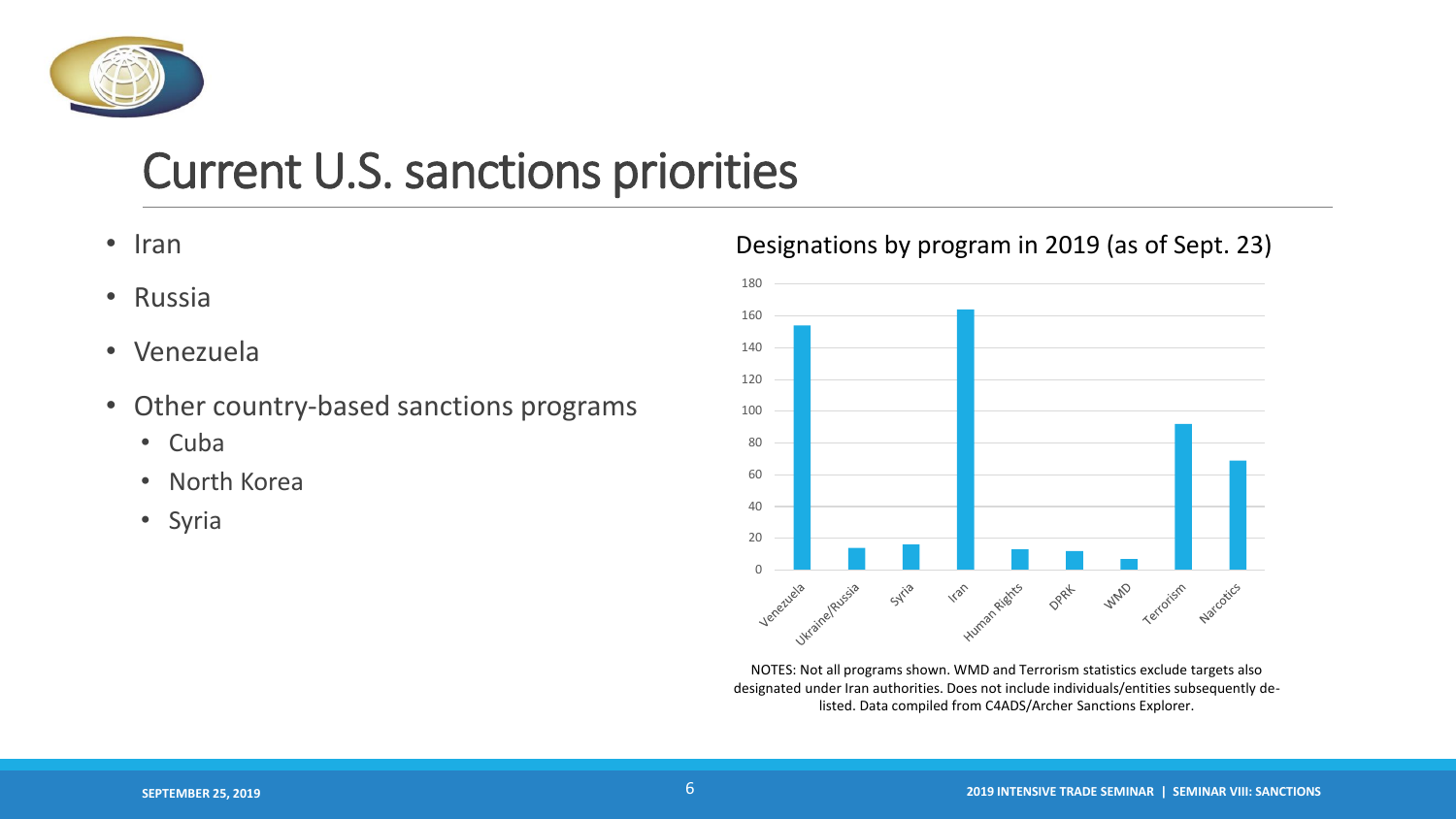

# Current U.S. sanctions priorities

- Iran
- Russia
- Venezuela
- Other country-based sanctions programs
	- Cuba
	- North Korea
	- Syria

#### Designations by program in 2019 (as of Sept. 23)



NOTES: Not all programs shown. WMD and Terrorism statistics exclude targets also designated under Iran authorities. Does not include individuals/entities subsequently delisted. Data compiled from C4ADS/Archer Sanctions Explorer.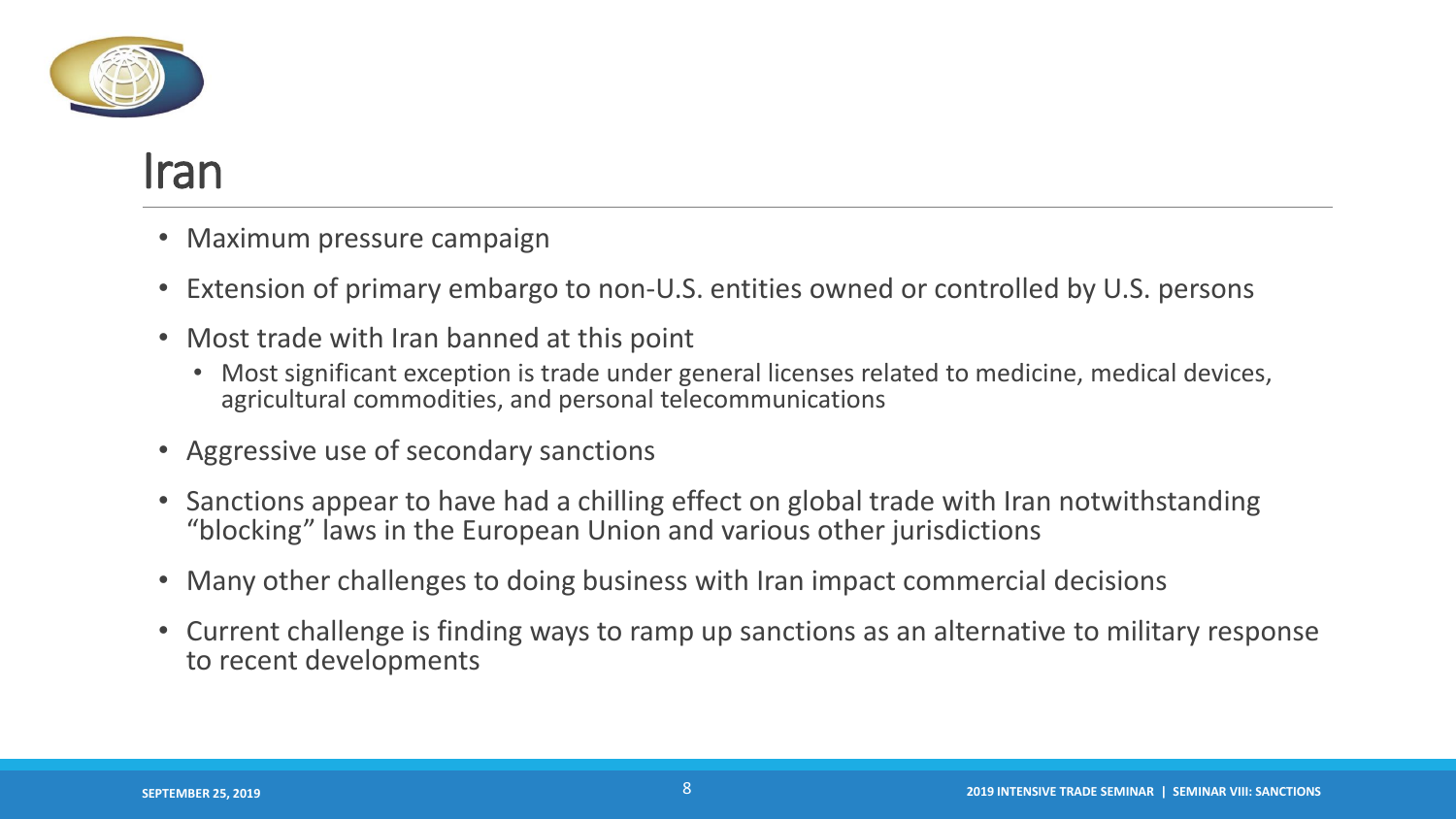

#### Iran

- Maximum pressure campaign
- Extension of primary embargo to non-U.S. entities owned or controlled by U.S. persons
- Most trade with Iran banned at this point
	- Most significant exception is trade under general licenses related to medicine, medical devices, agricultural commodities, and personal telecommunications
- Aggressive use of secondary sanctions
- Sanctions appear to have had a chilling effect on global trade with Iran notwithstanding "blocking" laws in the European Union and various other jurisdictions
- Many other challenges to doing business with Iran impact commercial decisions
- Current challenge is finding ways to ramp up sanctions as an alternative to military response to recent developments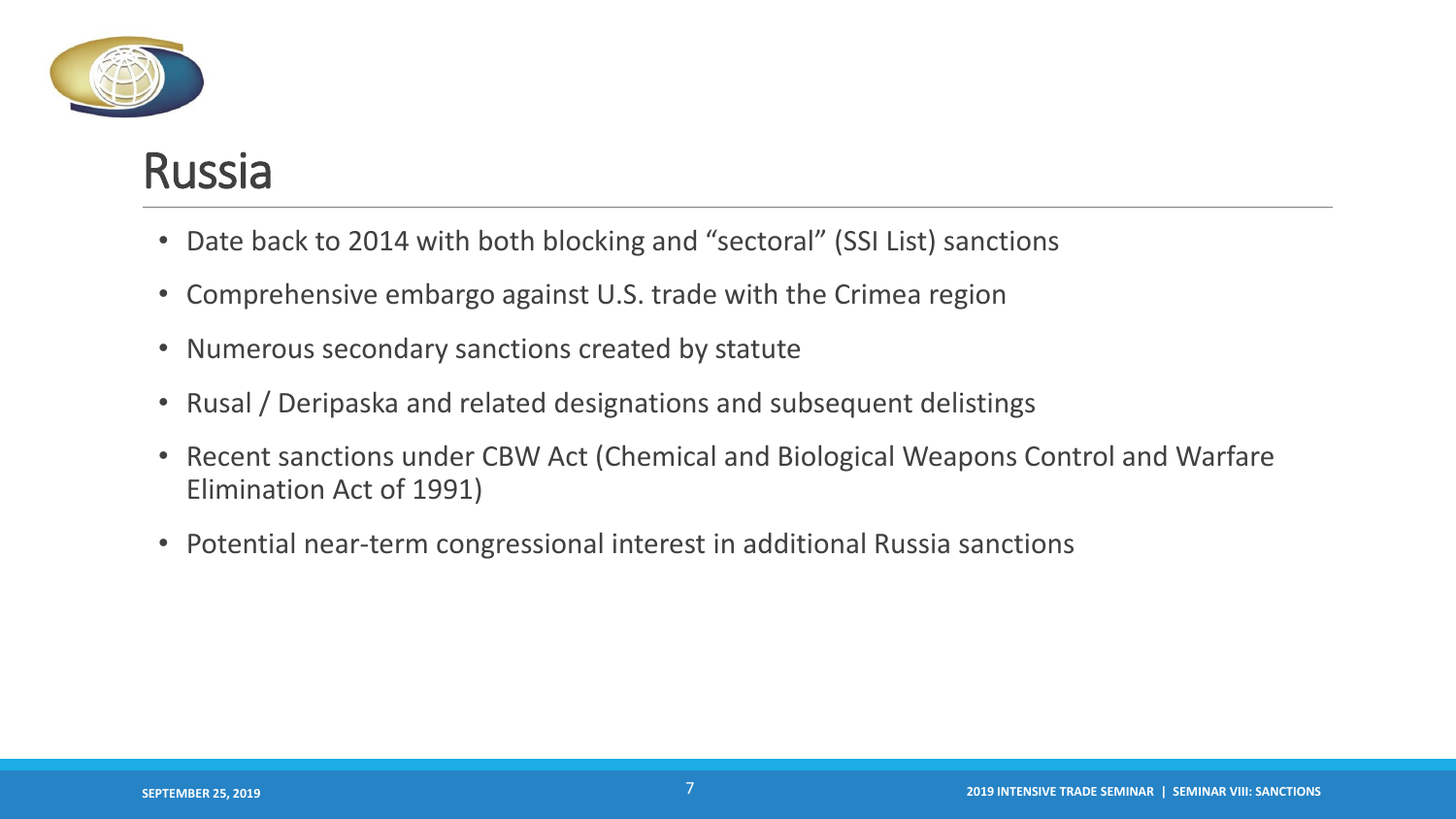

## Russia

- Date back to 2014 with both blocking and "sectoral" (SSI List) sanctions
- Comprehensive embargo against U.S. trade with the Crimea region
- Numerous secondary sanctions created by statute
- Rusal / Deripaska and related designations and subsequent delistings
- Recent sanctions under CBW Act (Chemical and Biological Weapons Control and Warfare Elimination Act of 1991)
- Potential near-term congressional interest in additional Russia sanctions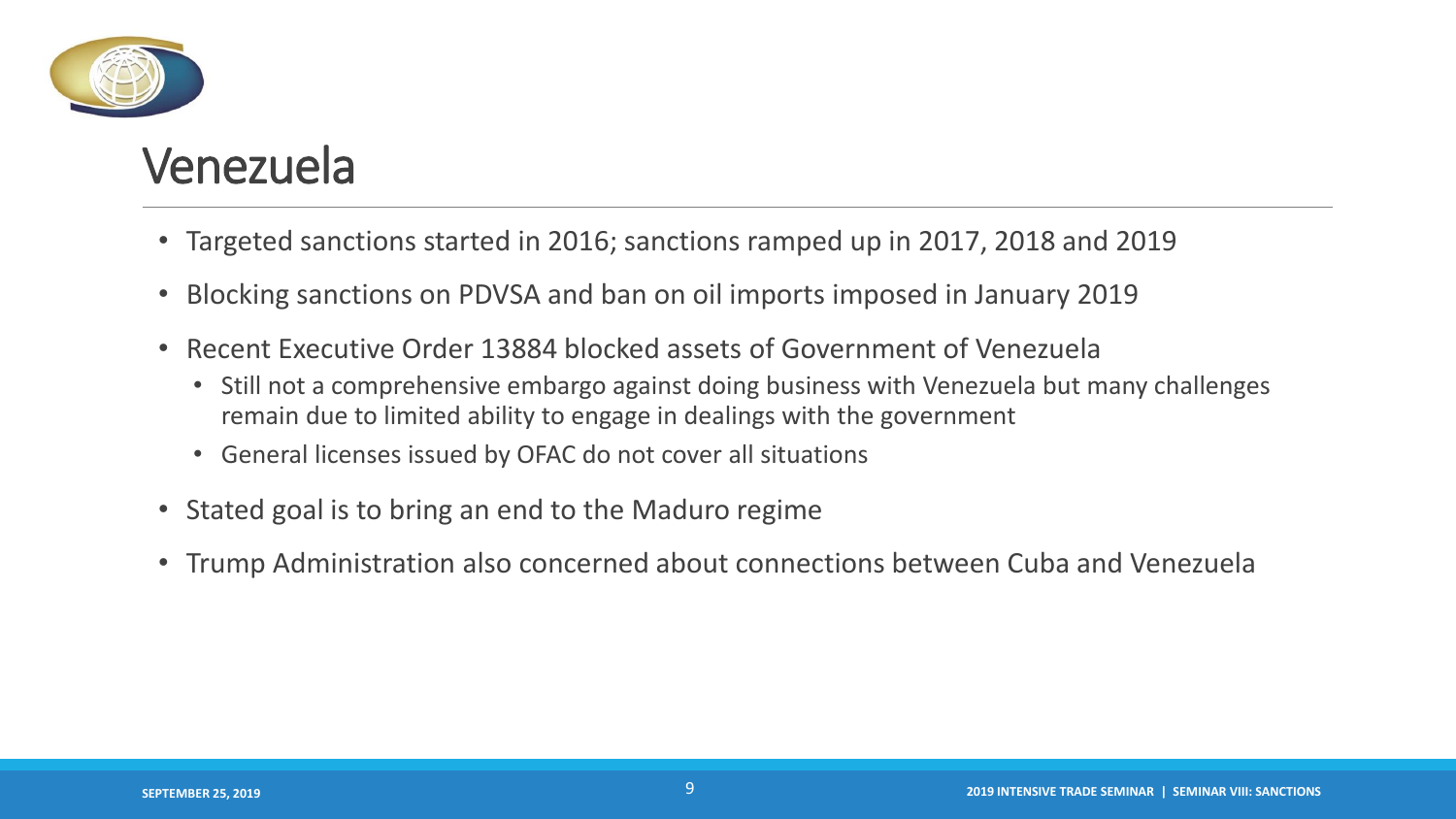

## Venezuela

- Targeted sanctions started in 2016; sanctions ramped up in 2017, 2018 and 2019
- Blocking sanctions on PDVSA and ban on oil imports imposed in January 2019
- Recent Executive Order 13884 blocked assets of Government of Venezuela
	- Still not a comprehensive embargo against doing business with Venezuela but many challenges remain due to limited ability to engage in dealings with the government
	- General licenses issued by OFAC do not cover all situations
- Stated goal is to bring an end to the Maduro regime
- Trump Administration also concerned about connections between Cuba and Venezuela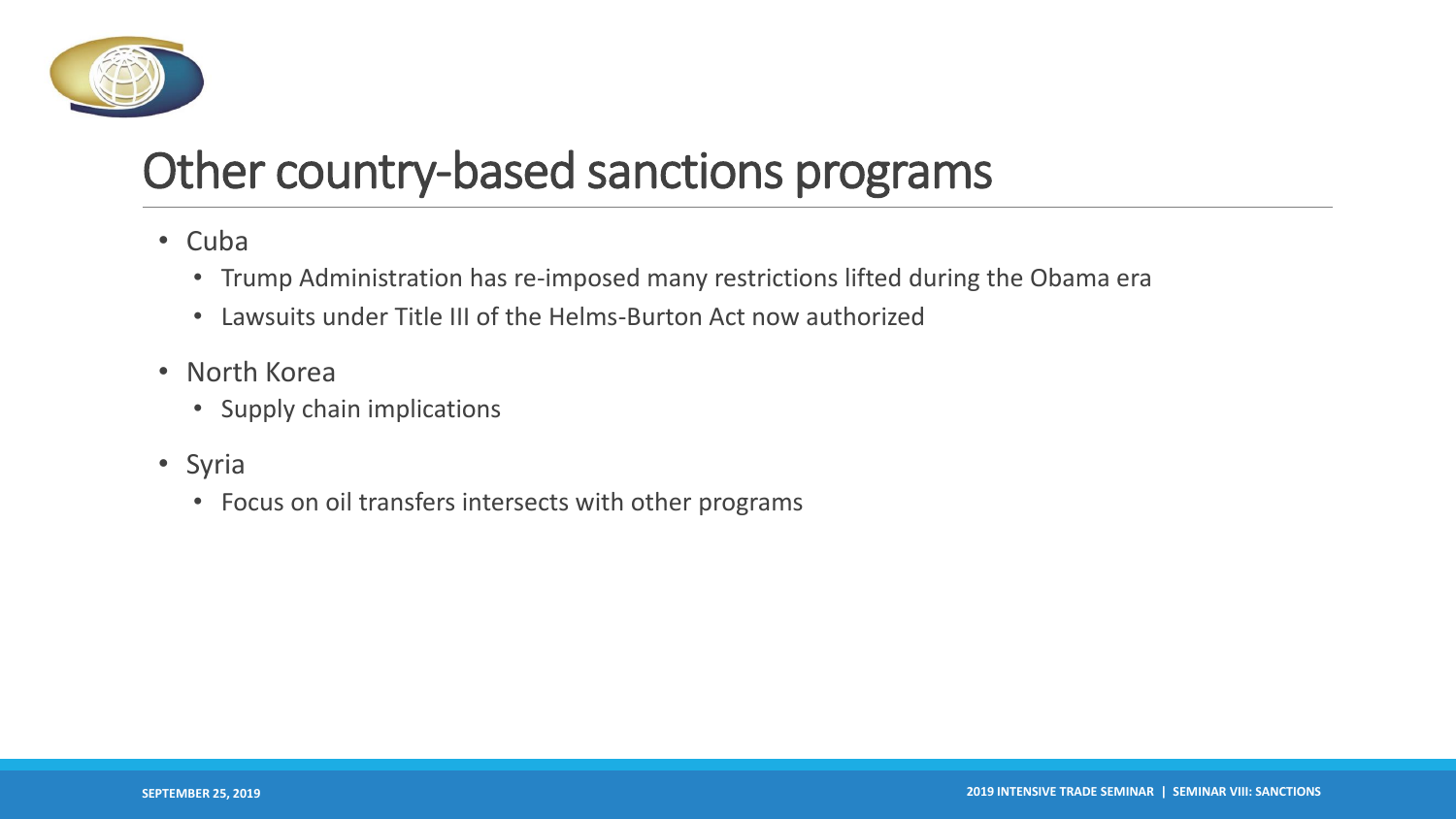

# Other country-based sanctions programs

- Cuba
	- Trump Administration has re-imposed many restrictions lifted during the Obama era
	- Lawsuits under Title III of the Helms-Burton Act now authorized
- North Korea
	- Supply chain implications
- Syria
	- Focus on oil transfers intersects with other programs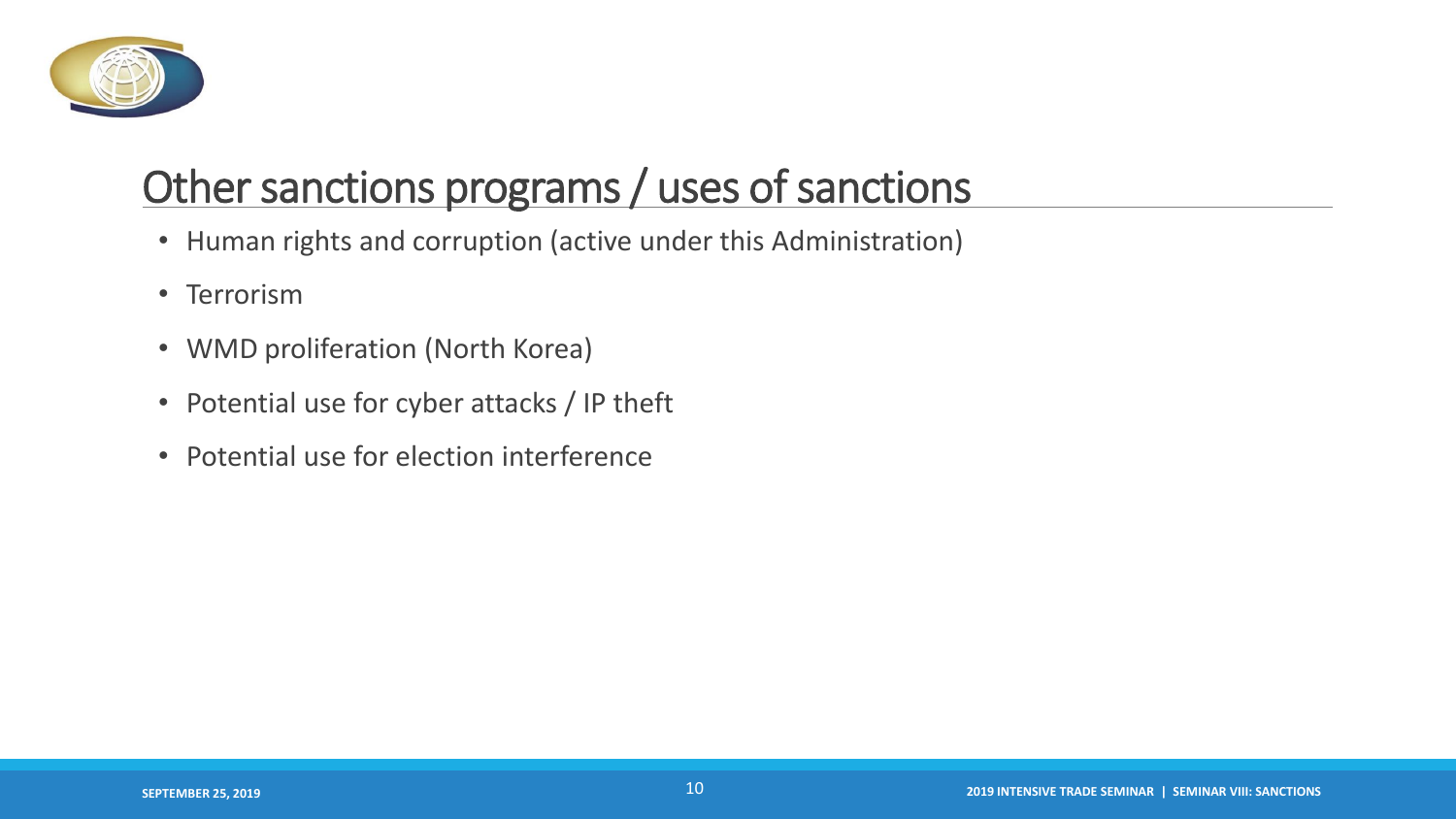

## Other sanctions programs / uses of sanctions

- Human rights and corruption (active under this Administration)
- Terrorism
- WMD proliferation (North Korea)
- Potential use for cyber attacks / IP theft
- Potential use for election interference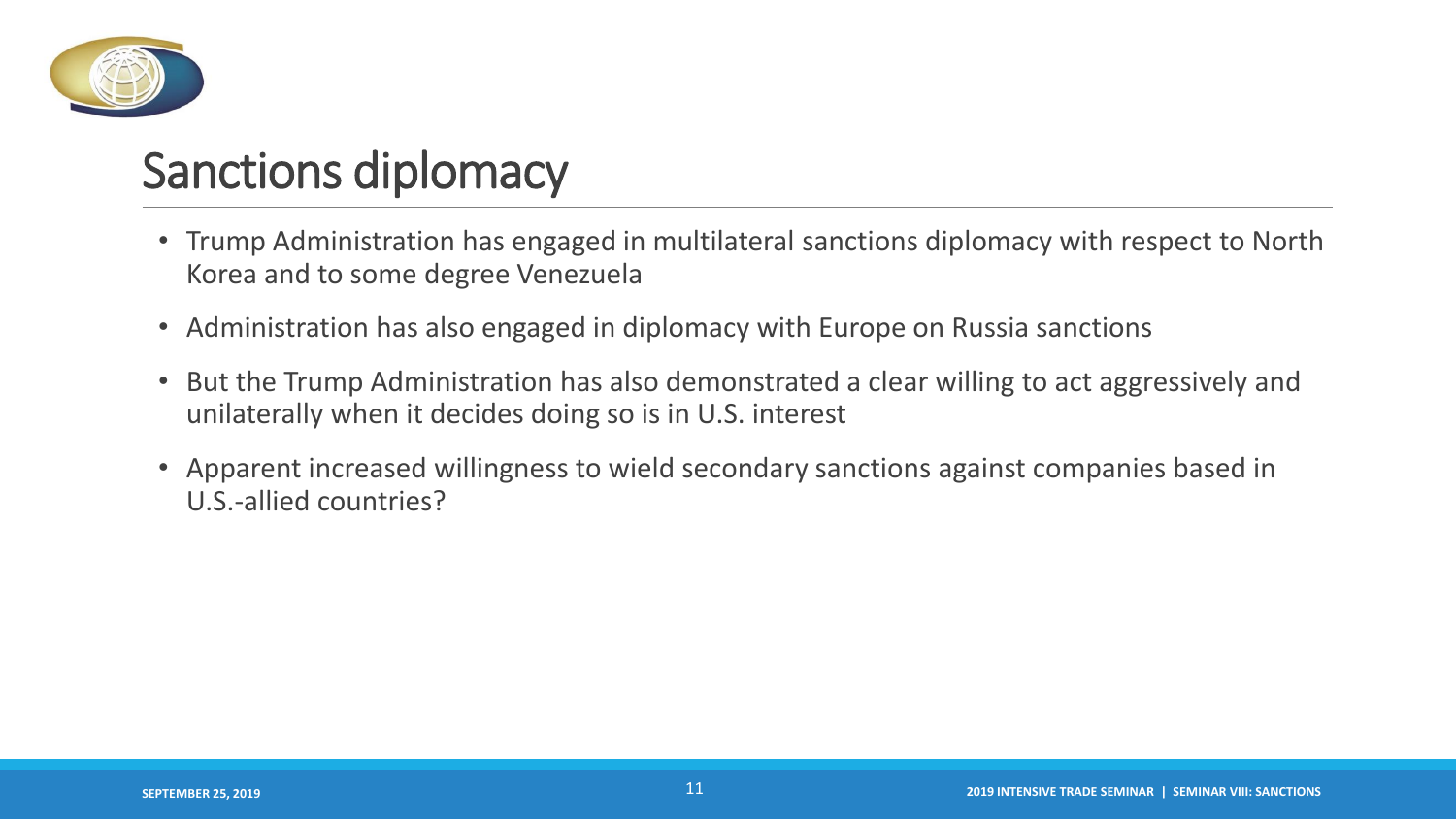

# Sanctions diplomacy

- Trump Administration has engaged in multilateral sanctions diplomacy with respect to North Korea and to some degree Venezuela
- Administration has also engaged in diplomacy with Europe on Russia sanctions
- But the Trump Administration has also demonstrated a clear willing to act aggressively and unilaterally when it decides doing so is in U.S. interest
- Apparent increased willingness to wield secondary sanctions against companies based in U.S.-allied countries?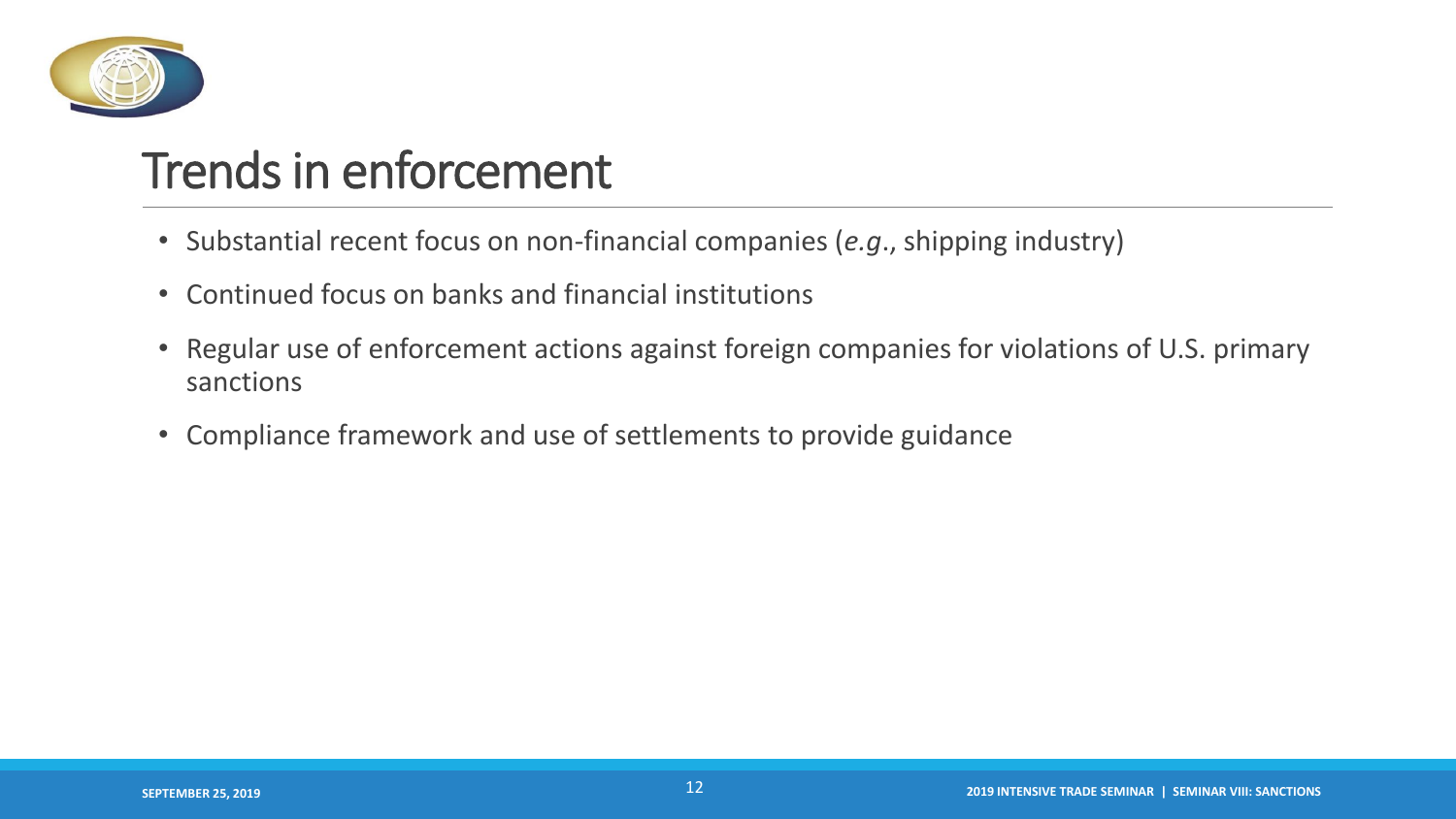

# Trends in enforcement

- Substantial recent focus on non-financial companies (*e.g*., shipping industry)
- Continued focus on banks and financial institutions
- Regular use of enforcement actions against foreign companies for violations of U.S. primary sanctions
- Compliance framework and use of settlements to provide guidance